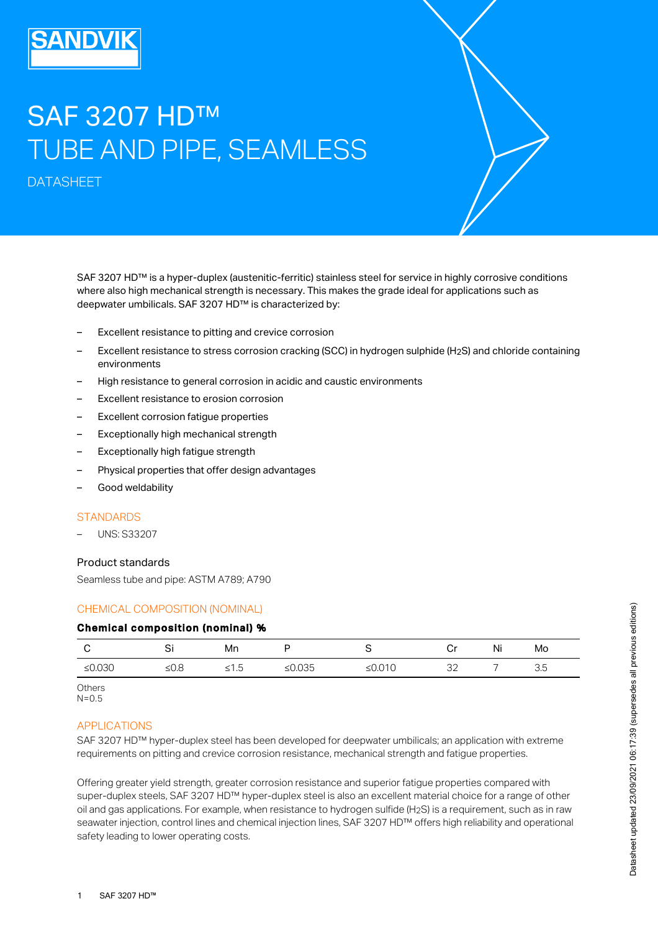# SAF 3207 HD™ TUBE AND PIPE, SEAMLESS

DATASHEET

SAF 3207 HD™ is a hyper-duplex (austenitic-ferritic) stainless steel for service in highly corrosive conditions where also high mechanical strength is necessary. This makes the grade ideal for applications such as deepwater umbilicals. SAF 3207 HD™ is characterized by:

- Excellent resistance to pitting and crevice corrosion
- Excellent resistance to stress corrosion cracking (SCC) in hydrogen sulphide (H2S) and chloride containing environments
- High resistance to general corrosion in acidic and caustic environments
- Excellent resistance to erosion corrosion
- Excellent corrosion fatigue properties
- Exceptionally high mechanical strength
- Exceptionally high fatigue strength
- Physical properties that offer design advantages
- Good weldability

#### **STANDARDS**

– UNS: S33207

#### Product standards

Seamless tube and pipe: ASTM A789; A790

## CHEMICAL COMPOSITION (NOMINAL)

#### Chemical composition (nominal) %

|           | ັັ   | Mn   | ◡         |           | Οr       | Νı | Mo  |
|-----------|------|------|-----------|-----------|----------|----|-----|
| ≤ $0.030$ | ≤0.8 | 51.5 | ≤ $0.035$ | ≤ $0.010$ | つつ<br>ےں |    | 3.5 |

**Others**  $N=0.5$ 

## APPLICATIONS

SAF 3207 HD™ hyper-duplex steel has been developed for deepwater umbilicals; an application with extreme requirements on pitting and crevice corrosion resistance, mechanical strength and fatigue properties.

Offering greater yield strength, greater corrosion resistance and superior fatigue properties compared with super-duplex steels, SAF 3207 HD™ hyper-duplex steel is also an excellent material choice for a range of other oil and gas applications. For example, when resistance to hydrogen sulfide (H2S) is a requirement, such as in raw seawater injection, control lines and chemical injection lines, SAF 3207 HD™ offers high reliability and operational safety leading to lower operating costs.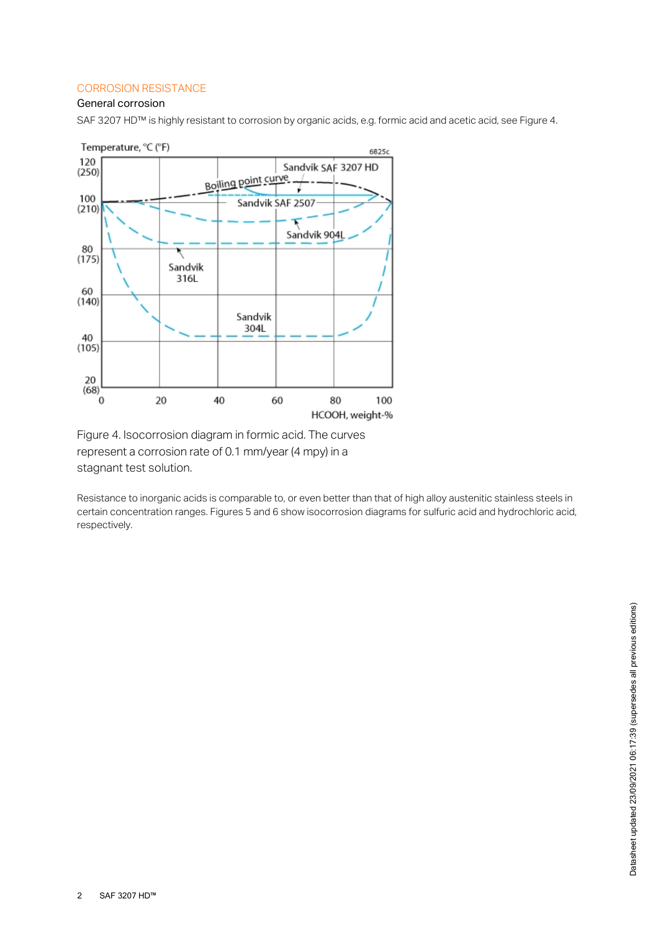# CORROSION RESISTANCE

# General corrosion

SAF 3207 HD™ is highly resistant to corrosion by organic acids, e.g. formic acid and acetic acid, see Figure 4.



Figure 4. Isocorrosion diagram in formic acid. The curves represent a corrosion rate of 0.1 mm/year (4 mpy) in a stagnant test solution.

Resistance to inorganic acids is comparable to, or even better than that of high alloy austenitic stainless steels in certain concentration ranges. Figures 5 and 6 show isocorrosion diagrams for sulfuric acid and hydrochloric acid, respectively.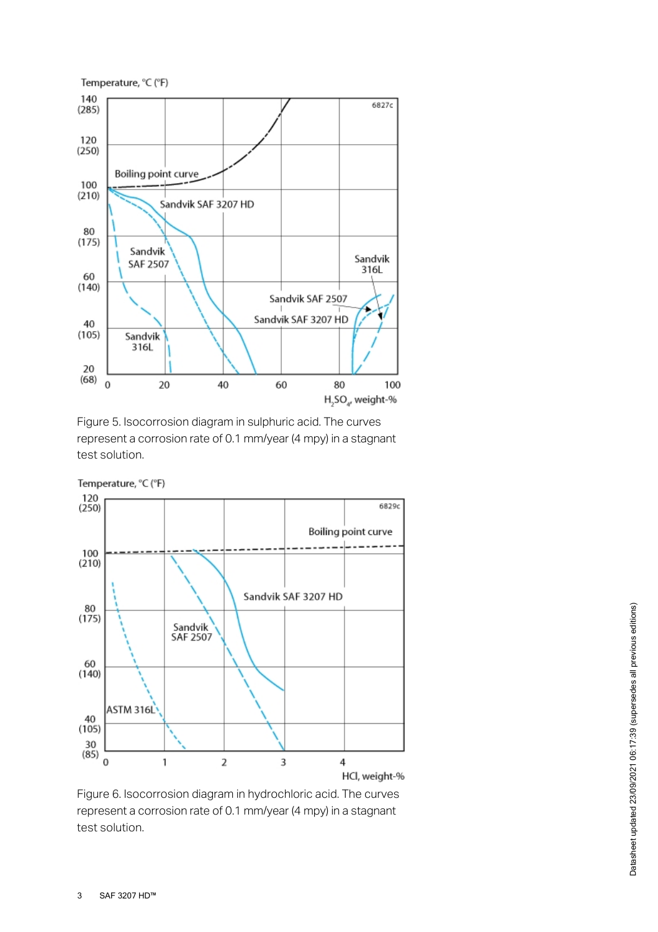

Figure 5. Isocorrosion diagram in sulphuric acid. The curves represent a corrosion rate of 0.1 mm/year (4 mpy) in a stagnant test solution.



Figure 6. Isocorrosion diagram in hydrochloric acid. The curves represent a corrosion rate of 0.1 mm/year (4 mpy) in a stagnant test solution.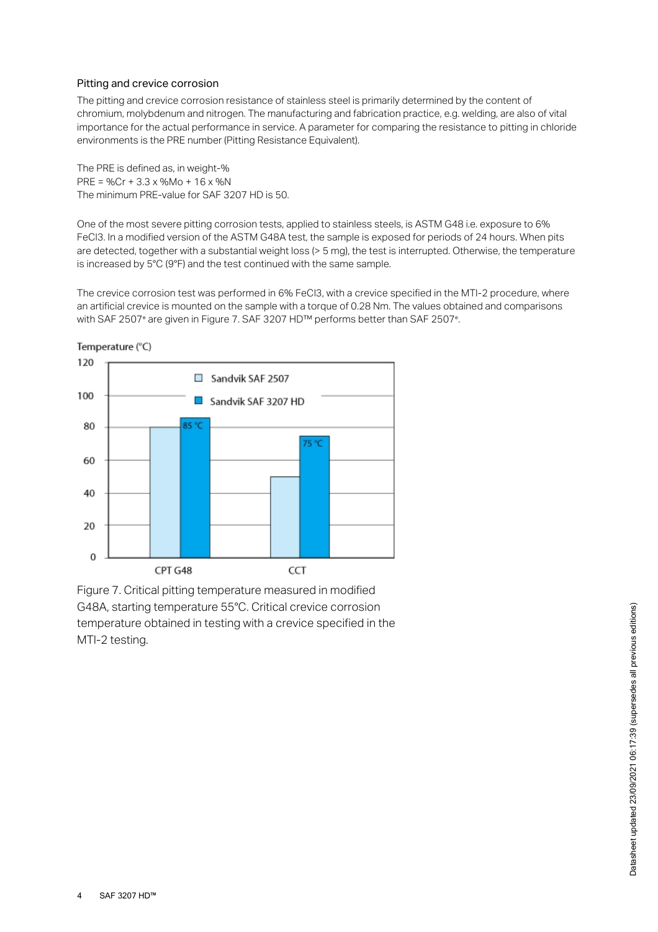## Pitting and crevice corrosion

The pitting and crevice corrosion resistance of stainless steel is primarily determined by the content of chromium, molybdenum and nitrogen. The manufacturing and fabrication practice, e.g. welding, are also of vital importance for the actual performance in service. A parameter for comparing the resistance to pitting in chloride environments is the PRE number (Pitting Resistance Equivalent).

The PRE is defined as, in weight-% PRE = %Cr + 3.3 x %Mo + 16 x %N The minimum PRE-value for SAF 3207 HD is 50.

One of the most severe pitting corrosion tests, applied to stainless steels, is ASTM G48 i.e. exposure to 6% FeCl3. In a modified version of the ASTM G48A test, the sample is exposed for periods of 24 hours. When pits are detected, together with a substantial weight loss (> 5 mg), the test is interrupted. Otherwise, the temperature is increased by 5°C (9°F) and the test continued with the same sample.

The crevice corrosion test was performed in 6% FeCl3, with a crevice specified in the MTI-2 procedure, where an artificial crevice is mounted on the sample with a torque of 0.28 Nm. The values obtained and comparisons with SAF 2507° are given in Figure 7. SAF 3207 HD™ performs better than SAF 2507°.



Figure 7. Critical pitting temperature measured in modified G48A, starting temperature 55°C. Critical crevice corrosion temperature obtained in testing with a crevice specified in the MTI-2 testing.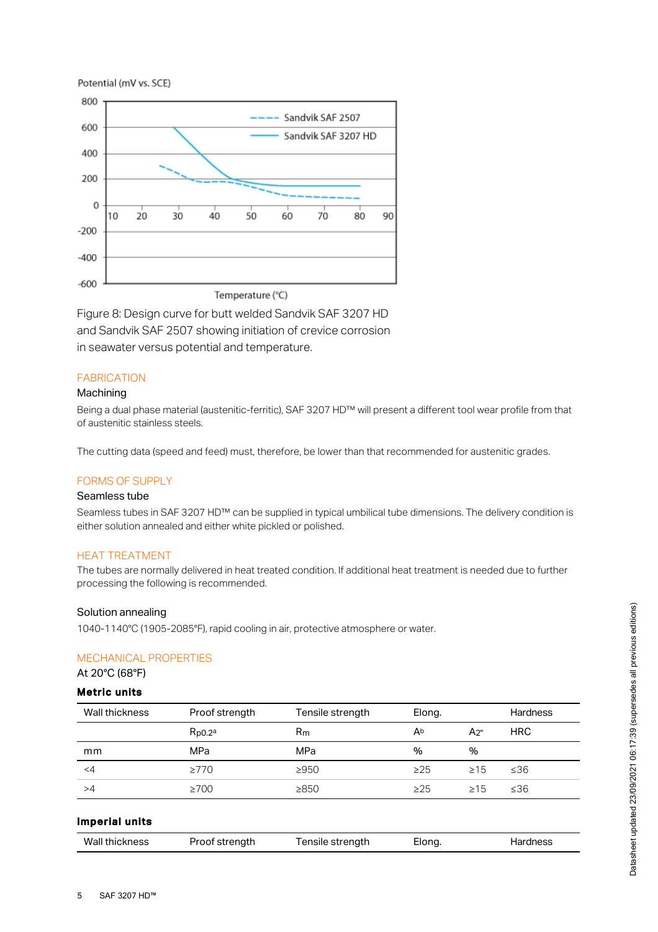



Figure 8: Design curve for butt welded Sandvik SAF 3207 HD and Sandvik SAF 2507 showing initiation of crevice corrosion in seawater versus potential and temperature.

# FABRICATION

## Machining

Being a dual phase material (austenitic-ferritic), SAF 3207 HD™ will present a different tool wear profile from that of austenitic stainless steels.

The cutting data (speed and feed) must, therefore, be lower than that recommended for austenitic grades.

## FORMS OF SUPPLY

# Seamless tube

Seamless tubes in SAF 3207 HD™ can be supplied in typical umbilical tube dimensions. The delivery condition is either solution annealed and either white pickled or polished.

## HEAT TREATMENT

The tubes are normally delivered in heat treated condition. If additional heat treatment is needed due to further processing the following is recommended.

#### Solution annealing

## MECHANICAL PROPERTIES

# Metric units

| <b>MECHANICAL PROPERTIES</b><br>At 20°C (68°F) |                |                  |           |           |                 |
|------------------------------------------------|----------------|------------------|-----------|-----------|-----------------|
| <b>Metric units</b>                            |                |                  |           |           |                 |
| Wall thickness                                 | Proof strength | Tensile strength | Elong.    |           | <b>Hardness</b> |
|                                                | $R_{p0.2a}$    | $R_{m}$          | Ab        | $A_{2}$ " | <b>HRC</b>      |
| mm                                             | MPa            | MPa              | $\%$      | %         |                 |
| $<$ 4                                          | $\geq 770$     | $\geq 950$       | $\geq$ 25 | $\geq 15$ | ≤36             |
| >4                                             | $\geq 700$     | $\geq 850$       | $\geq$ 25 | $\geq 15$ | ≤36             |
| <b>Imperial units</b>                          |                |                  |           |           |                 |
| Wall thickness                                 | Proof strength | Tensile strength | Elong.    |           | <b>Hardness</b> |

## Imperial units

| Wall thickness | Proof strength | Tensile strength | Elong. | Hardness |
|----------------|----------------|------------------|--------|----------|
|                |                |                  |        |          |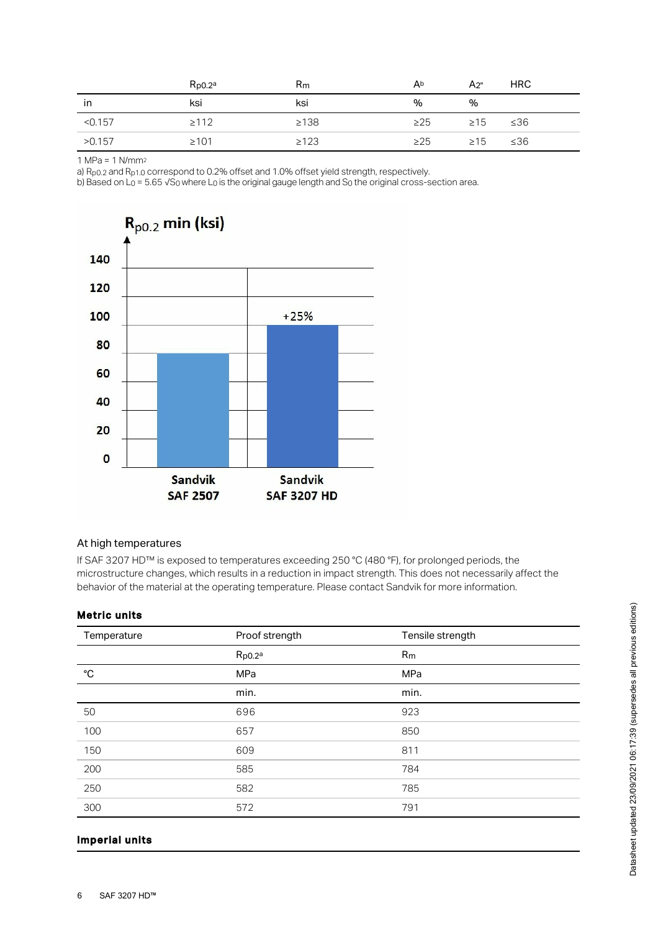|         | $R_{D0.2a}$ | $R_{m}$    | Ab        | A2"       | HRC |
|---------|-------------|------------|-----------|-----------|-----|
| ın      | ksi         | ksi        | %         | $\%$      |     |
| < 0.157 | $\geq$ 112  | $\geq 138$ | $\geq$ 25 | $\geq 15$ | ≤36 |
| >0.157  | $\geq 101$  | $\geq 123$ | $\geq$ 25 | $\geq$ 15 | ≤36 |

1 MPa = 1 N/mm 2

a)  $R_{p0.2}$  and  $R_{p1.0}$  correspond to 0.2% offset and 1.0% offset yield strength, respectively.

b) Based on L<sub>0</sub> = 5.65 √S<sub>0</sub> where L<sub>0</sub> is the original gauge length and S<sub>0</sub> the original cross-section area.



#### At high temperatures

If SAF 3207 HD™ is exposed to temperatures exceeding 250 °C (480 °F), for prolonged periods, the microstructure changes, which results in a reduction in impact strength. This does not necessarily affect the behavior of the material at the operating temperature. Please contact Sandvik for more information.

#### Metric units

| Temperature  | Proof strength | Tensile strength |
|--------------|----------------|------------------|
|              | $R_{p0.2a}$    | R <sub>m</sub>   |
| $^{\circ}$ C | MPa            | MPa              |
|              | min.           | min.             |
| 50           | 696            | 923              |
| 100          | 657            | 850              |
| 150          | 609            | 811              |
| 200          | 585            | 784              |
| 250          | 582            | 785              |
| 300          | 572            | 791              |

## Imperial units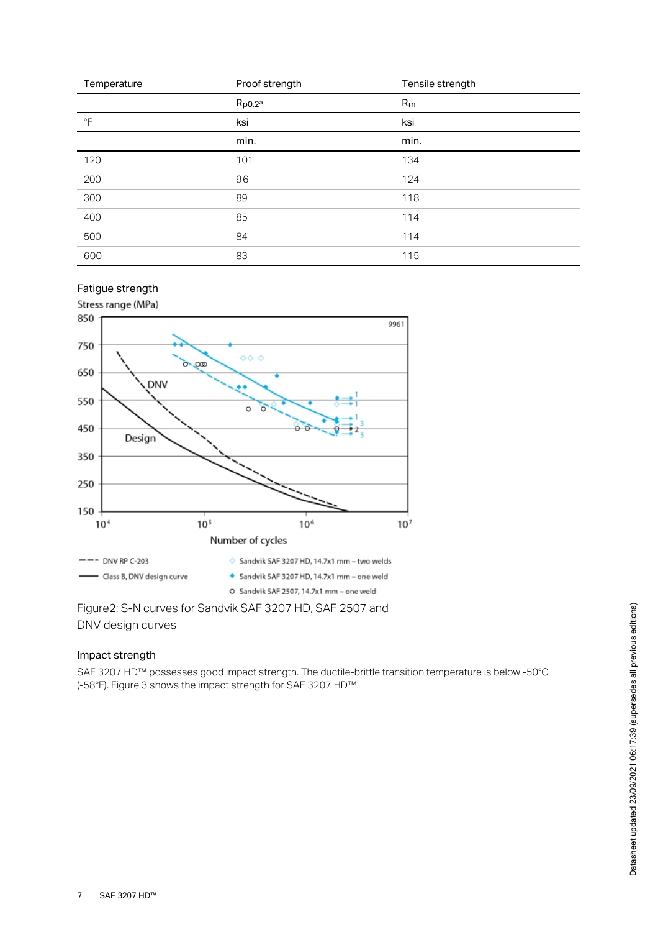| Temperature | Proof strength | Tensile strength |
|-------------|----------------|------------------|
|             | $R_{p0.2}$ a   | R <sub>m</sub>   |
| °F          | ksi            | ksi              |
|             | min.           | min.             |
| 120         | 101            | 134              |
| 200         | 96             | 124              |
| 300         | 89             | 118              |
| 400         | 85             | 114              |
| 500         | 84             | 114              |
| 600         | 83             | 115              |

# Fatigue strength



Figure2: S-N curves for Sandvik SAF 3207 HD, SAF 2507 and DNV design curves

# Impact strength

SAF 3207 HD™ possesses good impact strength. The ductile-brittle transition temperature is below -50°C (-58°F). Figure 3 shows the impact strength for SAF 3207 HD™.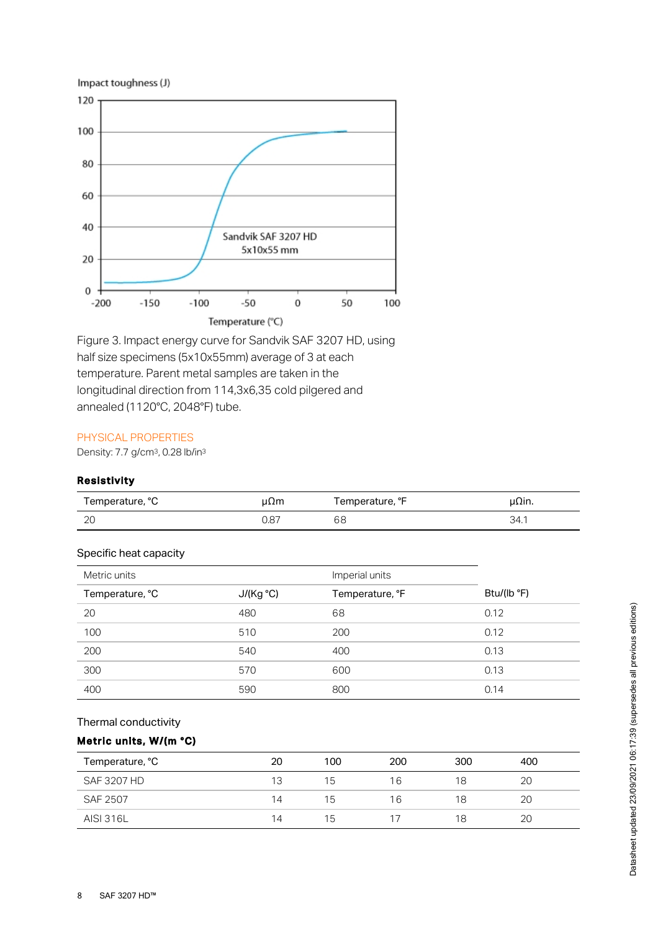

Figure 3. Impact energy curve for Sandvik SAF 3207 HD, using half size specimens (5x10x55mm) average of 3 at each temperature. Parent metal samples are taken in the longitudinal direction from 114,3x6,35 cold pilgered and annealed (1120°C, 2048°F) tube.

## PHYSICAL PROPERTIES

Density: 7.7 g/cm<sup>3</sup>, 0.28 lb/in<sup>3</sup>

# Resistivity

| Temperature, °C | JΩm  | Femperature, °F | µΩın. |
|-----------------|------|-----------------|-------|
| nr<br>∠⊾        | 87.ل | 68              | 34.1  |

## Specific heat capacity

| Metric units    |           | Imperial units  |             |
|-----------------|-----------|-----------------|-------------|
| Temperature, °C | J/(Kg °C) | Temperature, °F | Btu/(lb °F) |
| 20              | 480       | 68              | 0.12        |
| 100             | 510       | 200             | 0.12        |
| 200             | 540       | 400             | 0.13        |
| 300             | 570       | 600             | 0.13        |
| 400             | 590       | 800             | 0.14        |

# Thermal conductivity

## Metric units, W/(m °C)

| Temperature, °C    | 20 | 100 | 200 | 300 | 400 |
|--------------------|----|-----|-----|-----|-----|
| <b>SAF 3207 HD</b> | 13 | 15  | 16  | 18  | 20  |
| SAF 2507           | 14 | 15  | 16  | 18  | 20  |
| AISI 316L          | 14 | 15  |     | 18  | 20  |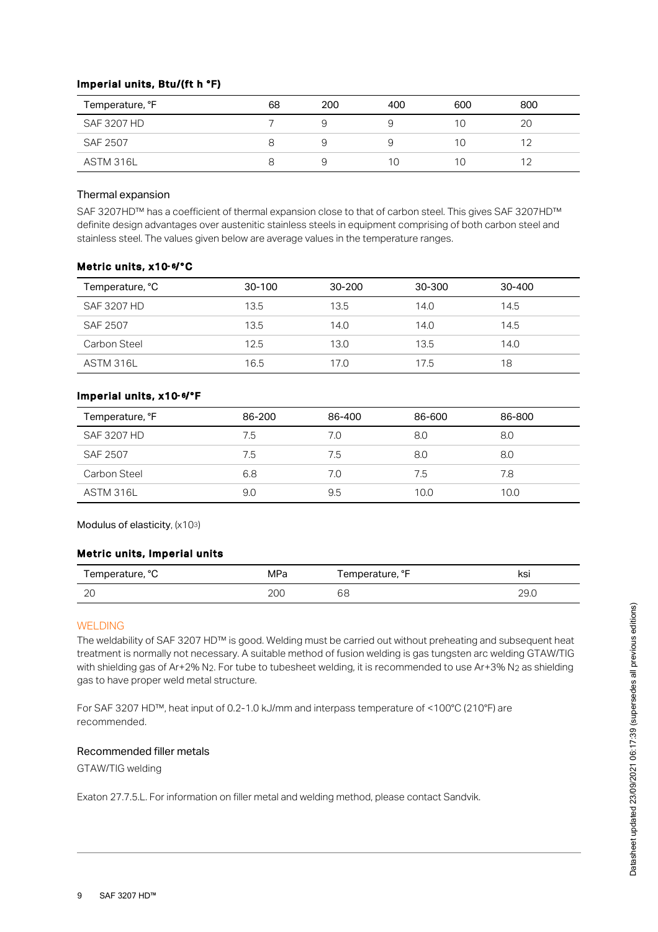## Imperial units, Btu/(ft h °F)

| Temperature, °F | 68 | 200 | 400   | 600 | 800 |
|-----------------|----|-----|-------|-----|-----|
| SAF 3207 HD     |    |     |       |     | 20  |
| SAF 2507        |    |     |       |     |     |
| ASTM 316L       |    |     | I ( ) |     |     |

## Thermal expansion

SAF 3207HD™ has a coefficient of thermal expansion close to that of carbon steel. This gives SAF 3207HD™ definite design advantages over austenitic stainless steels in equipment comprising of both carbon steel and stainless steel. The values given below are average values in the temperature ranges.

## Metric units, x10-6/°C

| Temperature, °C | $30-100$ | $30 - 200$ | 30-300 | 30-400 |
|-----------------|----------|------------|--------|--------|
| SAF 3207 HD     | 13.5     | 13.5       | 14.0   | 14.5   |
| SAF 2507        | 13.5     | 14.0       | 14.0   | 14.5   |
| Carbon Steel    | 12.5     | 13.0       | 13.5   | 14.0   |
| ASTM 316L       | 16.5     | 17.0       | 17.5   | 18     |

## lmperial units, x10-6/°F

| Temperature, °F | 86-200 | 86-400 | 86-600 | 86-800 |
|-----------------|--------|--------|--------|--------|
| SAF 3207 HD     | 7.5    | 7.0    | 8.0    | 8.0    |
| SAF 2507        | 7.5    | 7.5    | 8.0    | 8.0    |
| Carbon Steel    | 6.8    | 7.0    | 7.5    | 7.8    |
| ASTM 316L       | 9.0    | 9.5    | 10.0   | 10.0   |

Modulus of elasticity,  $(x103)$ 

## Metric units, Imperial units

| Temperature, °C | MPa | Temperature, °F | ĸsı  |
|-----------------|-----|-----------------|------|
| $\sim$          | 20C | AC              | ∩∩   |
| ∠∪              |     | ပဝ              | 29.U |

## WELDING

The weldability of SAF 3207 HD™ is good. Welding must be carried out without preheating and subsequent heat treatment is normally not necessary. A suitable method of fusion welding is gas tungsten arc welding GTAW/TIG with shielding gas of Ar+2% N<sub>2</sub>. For tube to tubesheet welding, it is recommended to use Ar+3% N<sub>2</sub> as shielding gas to have proper weld metal structure. 2 2 DD™ is good. Welding must be carried out without preheating and subsequent heat<br>
Sessary. A suitable method of fusion welding is gas tungsten arc welding GTAW/TIG<br>
2. For tube to tubesheet welding, it is recommended t

For SAF 3207 HD™, heat input of 0.2-1.0 kJ/mm and interpass temperature of <100°C (210°F) are recommended.

#### Recommended filler metals

GTAW/TIG welding

Exaton 27.7.5.L. For information on filler metal and welding method, please contact Sandvik.